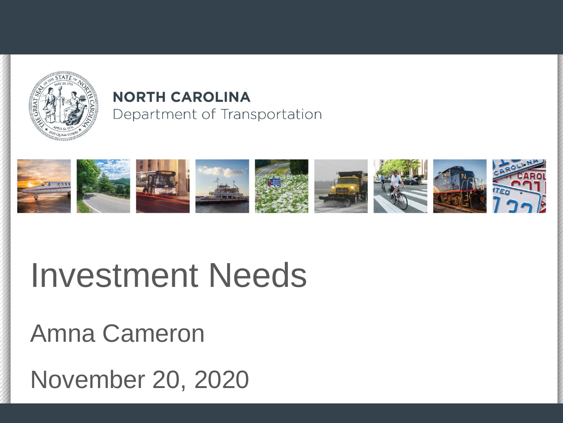

#### **NORTH CAROLINA** Department of Transportation



### Investment Needs

Amna Cameron

November 20, 2020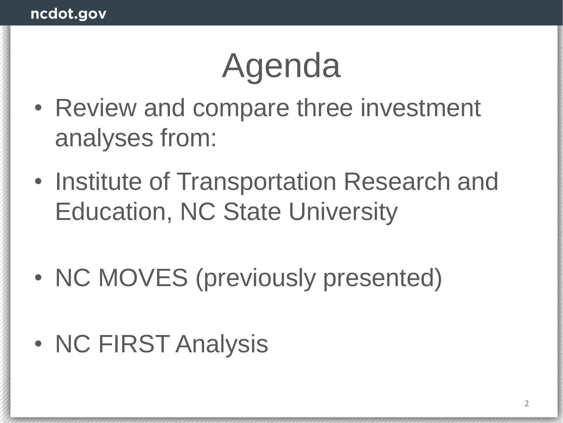## Agenda

- Review and compare three investment analyses from:
- Institute of Transportation Research and Education, NC State University
- NC MOVES (previously presented)
- NC FIRST Analysis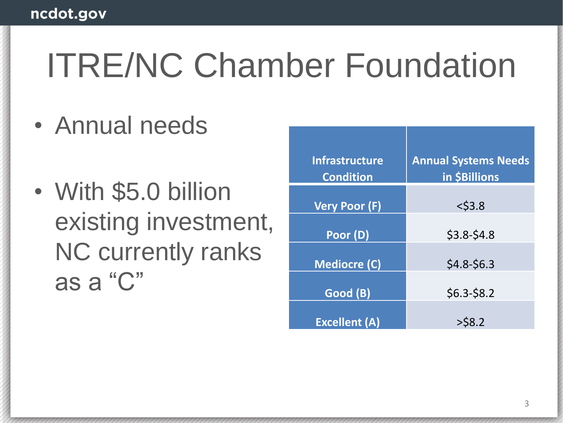### ITRE/NC Chamber Foundation

- Annual needs
- With \$5.0 billion existing investment, NC currently ranks as a "C"

| <b>Infrastructure</b><br><b>Condition</b> | <b>Annual Systems Needs</b><br>in \$Billions |
|-------------------------------------------|----------------------------------------------|
| <b>Very Poor (F)</b>                      | $<$ \$3.8                                    |
| Poor (D)                                  | $$3.8 - $4.8$                                |
| <b>Mediocre (C)</b>                       | $$4.8-$6.3$                                  |
| Good (B)                                  | $$6.3-$8.2$                                  |
| <b>Excellent (A)</b>                      | $>$ \$8.2                                    |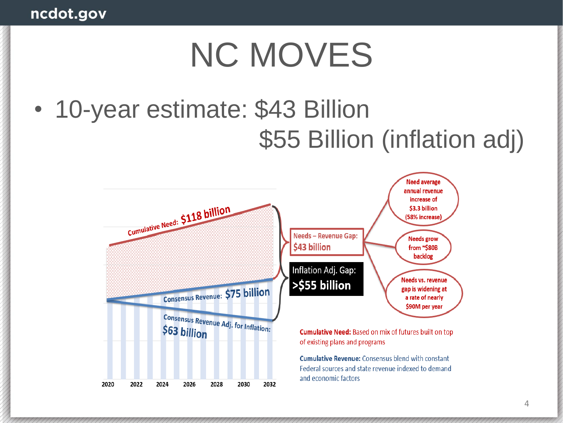### NC MOVES

### • 10-year estimate: \$43 Billion \$55 Billion (inflation adj)

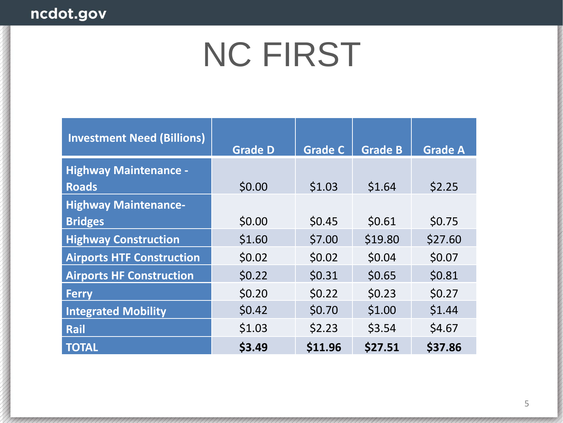### NC FIRST

| <b>Investment Need (Billions)</b> | <b>Grade D</b> | <b>Grade C</b> | <b>Grade B</b> | <b>Grade A</b> |
|-----------------------------------|----------------|----------------|----------------|----------------|
| <b>Highway Maintenance -</b>      |                |                |                |                |
| <b>Roads</b>                      | \$0.00         | \$1.03         | \$1.64         | \$2.25         |
| <b>Highway Maintenance-</b>       |                |                |                |                |
| <b>Bridges</b>                    | \$0.00         | \$0.45         | \$0.61         | \$0.75         |
| <b>Highway Construction</b>       | \$1.60         | \$7.00         | \$19.80        | \$27.60        |
| <b>Airports HTF Construction</b>  | \$0.02         | \$0.02         | \$0.04         | \$0.07         |
| <b>Airports HF Construction</b>   | \$0.22         | \$0.31         | \$0.65         | \$0.81         |
| <b>Ferry</b>                      | \$0.20         | \$0.22         | \$0.23         | \$0.27         |
| <b>Integrated Mobility</b>        | \$0.42         | \$0.70         | \$1.00         | \$1.44         |
| Rail                              | \$1.03         | \$2.23         | \$3.54         | \$4.67         |
| <b>TOTAL</b>                      | \$3.49         | \$11.96        | \$27.51        | \$37.86        |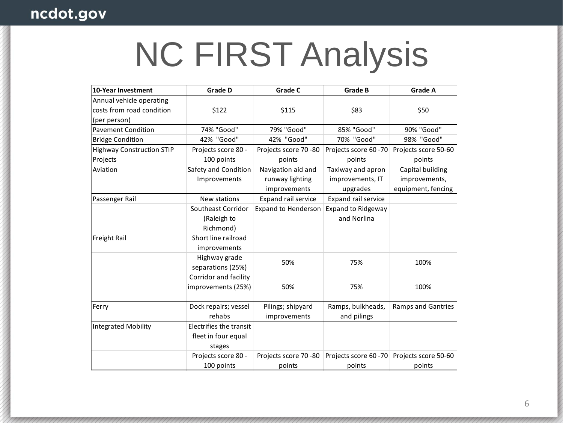# NC FIRST Analysis

| 10-Year Investment               | <b>Grade D</b>                       | <b>Grade C</b>                                        | <b>Grade B</b>                                    | <b>Grade A</b>                                          |
|----------------------------------|--------------------------------------|-------------------------------------------------------|---------------------------------------------------|---------------------------------------------------------|
| Annual vehicle operating         |                                      |                                                       |                                                   |                                                         |
| costs from road condition        | \$122                                | \$115                                                 | \$83                                              | \$50                                                    |
| (per person)                     |                                      |                                                       |                                                   |                                                         |
| <b>Pavement Condition</b>        | 74% "Good"                           | 79% "Good"                                            | 85% "Good"                                        | 90% "Good"                                              |
| <b>Bridge Condition</b>          | 42% "Good"                           | 42% "Good"                                            | 70% "Good"                                        | 98% "Good"                                              |
| <b>Highway Construction STIP</b> | Projects score 80 -                  | Projects score 70 -80                                 | Projects score 60 - 70                            | Projects score 50-60                                    |
| Projects                         | 100 points                           | points                                                | points                                            | points                                                  |
| Aviation                         | Safety and Condition<br>Improvements | Navigation aid and<br>runway lighting<br>improvements | Taxiway and apron<br>improvements, IT<br>upgrades | Capital building<br>improvements,<br>equipment, fencing |
| Passenger Rail                   | New stations                         | Expand rail service                                   | Expand rail service                               |                                                         |
|                                  | Southeast Corridor                   | <b>Expand to Henderson</b>                            | <b>Expand to Ridgeway</b>                         |                                                         |
|                                  | (Raleigh to                          |                                                       | and Norlina                                       |                                                         |
|                                  | Richmond)                            |                                                       |                                                   |                                                         |
| Freight Rail                     | Short line railroad                  |                                                       |                                                   |                                                         |
|                                  | improvements                         |                                                       |                                                   |                                                         |
|                                  | Highway grade<br>separations (25%)   | 50%                                                   | 75%                                               | 100%                                                    |
|                                  | Corridor and facility                |                                                       |                                                   |                                                         |
|                                  | improvements (25%)                   | 50%                                                   | 75%                                               | 100%                                                    |
| Ferry                            | Dock repairs; vessel<br>rehabs       | Pilings; shipyard<br>improvements                     | Ramps, bulkheads,<br>and pilings                  | <b>Ramps and Gantries</b>                               |
| <b>Integrated Mobility</b>       | Electrifies the transit              |                                                       |                                                   |                                                         |
|                                  | fleet in four equal<br>stages        |                                                       |                                                   |                                                         |
|                                  | Projects score 80 -                  | Projects score 70-80                                  | Projects score 60 - 70                            | Projects score 50-60                                    |
|                                  | 100 points                           | points                                                | points                                            | points                                                  |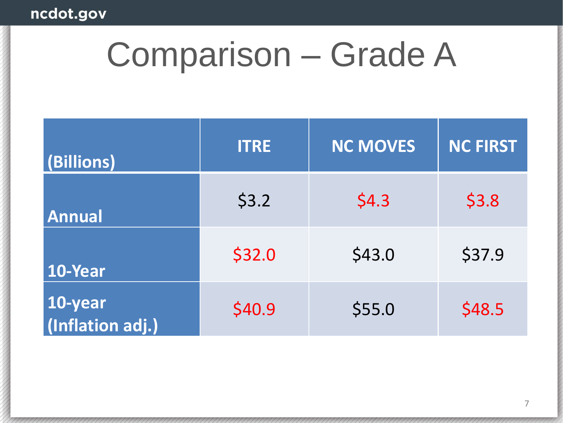### Comparison – Grade A

| (Billions)                  | <b>ITRE</b> | <b>NC MOVES</b> | NC FIRST |
|-----------------------------|-------------|-----------------|----------|
| <b>Annual</b>               | \$3.2       | \$4.3           | \$3.8    |
| 10-Year                     | \$32.0      | \$43.0          | \$37.9   |
| 10-year<br>(Inflation adj.) | \$40.9      | \$55.0          | \$48.5   |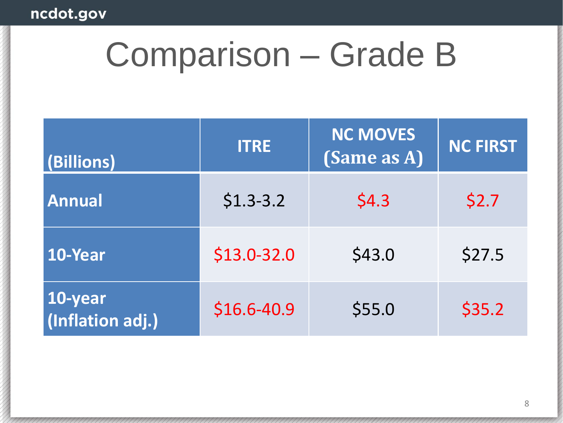### Comparison – Grade B

| (Billions)                  | <b>ITRE</b>    | <b>NC MOVES</b><br>(Same as A) | <b>NC FIRST</b> |
|-----------------------------|----------------|--------------------------------|-----------------|
| <b>Annual</b>               | $$1.3-3.2$     | \$4.3                          | \$2.7           |
| 10-Year                     | $$13.0-32.0$   | \$43.0                         | \$27.5          |
| 10-year<br>(Inflation adj.) | $$16.6 - 40.9$ | \$55.0                         | \$35.2          |